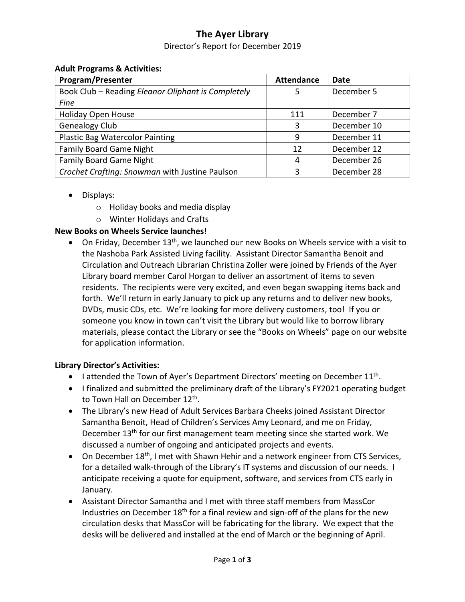## **The Ayer Library**

### Director's Report for December 2019

| <b>Program/Presenter</b>                           | <b>Attendance</b> | Date        |
|----------------------------------------------------|-------------------|-------------|
| Book Club – Reading Eleanor Oliphant is Completely | 5                 | December 5  |
| Fine                                               |                   |             |
| Holiday Open House                                 | 111               | December 7  |
| Genealogy Club                                     | 3                 | December 10 |
| <b>Plastic Bag Watercolor Painting</b>             | 9                 | December 11 |
| <b>Family Board Game Night</b>                     | 12                | December 12 |
| <b>Family Board Game Night</b>                     | 4                 | December 26 |
| Crochet Crafting: Snowman with Justine Paulson     | ς                 | December 28 |

- Displays:
	- o Holiday books and media display
	- o Winter Holidays and Crafts

#### **New Books on Wheels Service launches!**

• On Friday, December 13<sup>th</sup>, we launched our new Books on Wheels service with a visit to the Nashoba Park Assisted Living facility. Assistant Director Samantha Benoit and Circulation and Outreach Librarian Christina Zoller were joined by Friends of the Ayer Library board member Carol Horgan to deliver an assortment of items to seven residents. The recipients were very excited, and even began swapping items back and forth. We'll return in early January to pick up any returns and to deliver new books, DVDs, music CDs, etc. We're looking for more delivery customers, too! If you or someone you know in town can't visit the Library but would like to borrow library materials, please contact the Library or see the "Books on Wheels" page on our website for application information.

#### **Library Director's Activities:**

- $\bullet$  I attended the Town of Ayer's Department Directors' meeting on December  $11^{th}$ .
- I finalized and submitted the preliminary draft of the Library's FY2021 operating budget to Town Hall on December 12<sup>th</sup>.
- The Library's new Head of Adult Services Barbara Cheeks joined Assistant Director Samantha Benoit, Head of Children's Services Amy Leonard, and me on Friday, December 13<sup>th</sup> for our first management team meeting since she started work. We discussed a number of ongoing and anticipated projects and events.
- On December  $18<sup>th</sup>$ , I met with Shawn Hehir and a network engineer from CTS Services, for a detailed walk-through of the Library's IT systems and discussion of our needs. I anticipate receiving a quote for equipment, software, and services from CTS early in January.
- Assistant Director Samantha and I met with three staff members from MassCor Industries on December 18<sup>th</sup> for a final review and sign-off of the plans for the new circulation desks that MassCor will be fabricating for the library. We expect that the desks will be delivered and installed at the end of March or the beginning of April.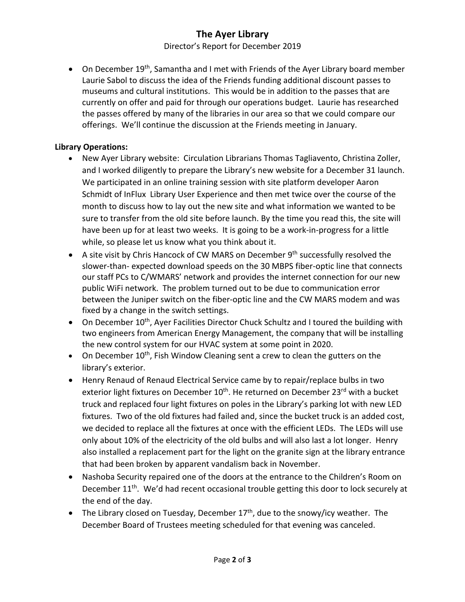# **The Ayer Library**

Director's Report for December 2019

• On December 19<sup>th</sup>, Samantha and I met with Friends of the Ayer Library board member Laurie Sabol to discuss the idea of the Friends funding additional discount passes to museums and cultural institutions. This would be in addition to the passes that are currently on offer and paid for through our operations budget. Laurie has researched the passes offered by many of the libraries in our area so that we could compare our offerings. We'll continue the discussion at the Friends meeting in January.

### **Library Operations:**

- New Ayer Library website: Circulation Librarians Thomas Tagliavento, Christina Zoller, and I worked diligently to prepare the Library's new website for a December 31 launch. We participated in an online training session with site platform developer Aaron Schmidt of InFlux Library User Experience and then met twice over the course of the month to discuss how to lay out the new site and what information we wanted to be sure to transfer from the old site before launch. By the time you read this, the site will have been up for at least two weeks. It is going to be a work-in-progress for a little while, so please let us know what you think about it.
- $\bullet$  A site visit by Chris Hancock of CW MARS on December  $9<sup>th</sup>$  successfully resolved the slower-than- expected download speeds on the 30 MBPS fiber-optic line that connects our staff PCs to C/WMARS' network and provides the internet connection for our new public WiFi network. The problem turned out to be due to communication error between the Juniper switch on the fiber-optic line and the CW MARS modem and was fixed by a change in the switch settings.
- On December 10<sup>th</sup>, Ayer Facilities Director Chuck Schultz and I toured the building with two engineers from American Energy Management, the company that will be installing the new control system for our HVAC system at some point in 2020.
- On December  $10^{th}$ , Fish Window Cleaning sent a crew to clean the gutters on the library's exterior.
- Henry Renaud of Renaud Electrical Service came by to repair/replace bulbs in two exterior light fixtures on December 10<sup>th</sup>. He returned on December 23<sup>rd</sup> with a bucket truck and replaced four light fixtures on poles in the Library's parking lot with new LED fixtures. Two of the old fixtures had failed and, since the bucket truck is an added cost, we decided to replace all the fixtures at once with the efficient LEDs. The LEDs will use only about 10% of the electricity of the old bulbs and will also last a lot longer. Henry also installed a replacement part for the light on the granite sign at the library entrance that had been broken by apparent vandalism back in November.
- Nashoba Security repaired one of the doors at the entrance to the Children's Room on December 11<sup>th</sup>. We'd had recent occasional trouble getting this door to lock securely at the end of the day.
- The Library closed on Tuesday, December  $17<sup>th</sup>$ , due to the snowy/icy weather. The December Board of Trustees meeting scheduled for that evening was canceled.